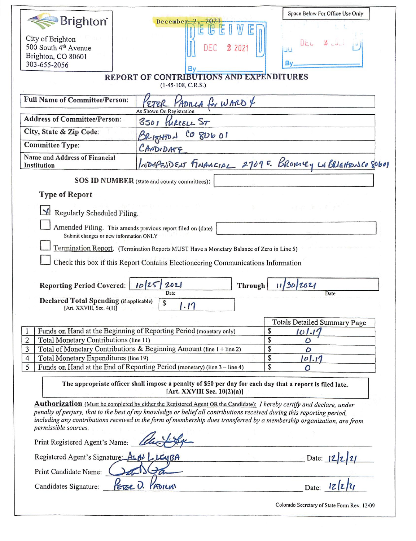|                                                                                                                                         |                                                                                                                                                                                                                                                   | Space Below For Office Use Only                          |  |  |
|-----------------------------------------------------------------------------------------------------------------------------------------|---------------------------------------------------------------------------------------------------------------------------------------------------------------------------------------------------------------------------------------------------|----------------------------------------------------------|--|--|
| <b>Brighton</b>                                                                                                                         | Decembe                                                                                                                                                                                                                                           |                                                          |  |  |
| City of Brighton                                                                                                                        |                                                                                                                                                                                                                                                   | $\mathbb{Z}$ code<br><b>UEU</b>                          |  |  |
| 500 South 4 <sup>th</sup> Avenue                                                                                                        | 2 2021<br>DEC                                                                                                                                                                                                                                     | ШЦ                                                       |  |  |
| Brighton, CO 80601<br>303-655-2056                                                                                                      |                                                                                                                                                                                                                                                   | Bv                                                       |  |  |
|                                                                                                                                         | Bv                                                                                                                                                                                                                                                |                                                          |  |  |
| REPORT OF CONTRIBUTIONS AND EXPENDITURES<br>$(1-45-108, C.R.S.)$                                                                        |                                                                                                                                                                                                                                                   |                                                          |  |  |
| <b>Full Name of Committee/Person:</b>                                                                                                   | PADILLA for WARD 4<br>As Shown On Registration                                                                                                                                                                                                    |                                                          |  |  |
| <b>Address of Committee/Person:</b>                                                                                                     | 3501 FURCELL ST                                                                                                                                                                                                                                   |                                                          |  |  |
| City, State & Zip Code:                                                                                                                 | CO 8U6 01<br>RIZITION                                                                                                                                                                                                                             |                                                          |  |  |
| <b>Committee Type:</b>                                                                                                                  | CANDIDATE                                                                                                                                                                                                                                         |                                                          |  |  |
| Name and Address of Financial<br>Institution                                                                                            |                                                                                                                                                                                                                                                   | INDERENDENT FINANCIAL 2701E. BROMLEY LN BRIGHTONCO SPOOD |  |  |
|                                                                                                                                         | SOS ID NUMBER (state and county committees):                                                                                                                                                                                                      |                                                          |  |  |
| <b>Type of Report</b>                                                                                                                   |                                                                                                                                                                                                                                                   |                                                          |  |  |
| Regularly Scheduled Filing.                                                                                                             |                                                                                                                                                                                                                                                   |                                                          |  |  |
| Amended Filing. This amends previous report filed on (date)                                                                             |                                                                                                                                                                                                                                                   |                                                          |  |  |
| Submit changes or new information ONLY                                                                                                  |                                                                                                                                                                                                                                                   |                                                          |  |  |
|                                                                                                                                         | Termination Report. (Termination Reports MUST Have a Monetary Balance of Zero in Line 5)                                                                                                                                                          |                                                          |  |  |
|                                                                                                                                         | Check this box if this Report Contains Electioneering Communications Information                                                                                                                                                                  |                                                          |  |  |
|                                                                                                                                         |                                                                                                                                                                                                                                                   |                                                          |  |  |
| <b>Reporting Period Covered:</b>                                                                                                        | 2021<br>10125<br>Through<br>Date                                                                                                                                                                                                                  | 113012021<br>Date                                        |  |  |
| <b>Declared Total Spending (if applicable)</b><br>\$<br>$\cdot$ 17                                                                      |                                                                                                                                                                                                                                                   |                                                          |  |  |
| [Art. XXVIII, Sec. 4(1)]                                                                                                                |                                                                                                                                                                                                                                                   |                                                          |  |  |
|                                                                                                                                         |                                                                                                                                                                                                                                                   | <b>Totals Detailed Summary Page</b>                      |  |  |
| $\overline{2}$<br>Total Monetary Contributions (line 11)                                                                                | Funds on Hand at the Beginning of Reporting Period (monetary only)                                                                                                                                                                                | \$<br>101.1'<br>\$<br>$\mathcal{O}$                      |  |  |
| $\overline{3}$<br>Total of Monetary Contributions & Beginning Amount (line 1 + line 2)                                                  |                                                                                                                                                                                                                                                   | \$<br>0                                                  |  |  |
| \$<br>Total Monetary Expenditures (line 19)<br>4                                                                                        |                                                                                                                                                                                                                                                   | 101.17                                                   |  |  |
| 5                                                                                                                                       | Funds on Hand at the End of Reporting Period (monetary) (line 3 - line 4)                                                                                                                                                                         | \$<br>Ο                                                  |  |  |
| The appropriate officer shall impose a penalty of \$50 per day for each day that a report is filed late.<br>[Art. XXVIII Sec. 10(2)(a)] |                                                                                                                                                                                                                                                   |                                                          |  |  |
|                                                                                                                                         | <b>Authorization</b> (Must be completed by either the Registered Agent OR the Candidate): I hereby certify and declare, under                                                                                                                     |                                                          |  |  |
|                                                                                                                                         | penalty of perjury, that to the best of my knowledge or belief all contributions received during this reporting period,<br>including any contributions received in the form of membership dues transferred by a membership organization, are from |                                                          |  |  |
| permissible sources.                                                                                                                    |                                                                                                                                                                                                                                                   |                                                          |  |  |
| Print Registered Agent's Name:                                                                                                          |                                                                                                                                                                                                                                                   |                                                          |  |  |
| Registered Agent's Signature: ALAN<br>Date:                                                                                             |                                                                                                                                                                                                                                                   |                                                          |  |  |
| Print Candidate Name:                                                                                                                   |                                                                                                                                                                                                                                                   |                                                          |  |  |
| Candidates Signature:                                                                                                                   | PADILUI                                                                                                                                                                                                                                           | z 2 z <br>Date:                                          |  |  |
|                                                                                                                                         |                                                                                                                                                                                                                                                   | Colorado Secretary of State Form Rev. 12/09              |  |  |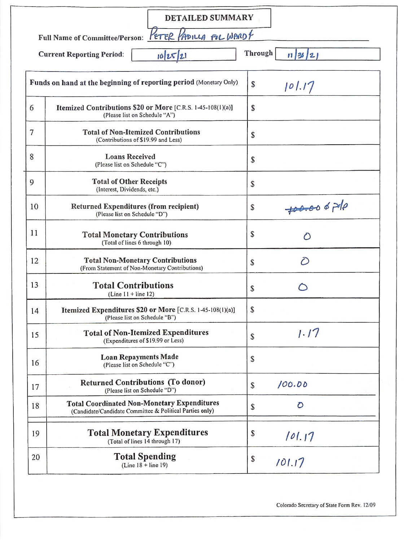| PETER PADILLA FOL WARDY<br><b>Full Name of Committee/Person:</b><br>Through<br>10 25 21<br><b>Current Reporting Period:</b><br>11 36 2 <br>Funds on hand at the beginning of reporting period (Monetary Only)<br>\$<br>101.17<br>6<br>Itemized Contributions \$20 or More [C.R.S. 1-45-108(1)(a)]<br>\$<br>(Please list on Schedule "A")<br>7<br><b>Total of Non-Itemized Contributions</b><br>\$<br>(Contributions of \$19.99 and Less)<br>8<br><b>Loans Received</b><br>\$<br>(Please list on Schedule "C")<br><b>Total of Other Receipts</b><br>9<br>\$<br>(Interest, Dividends, etc.)<br>$700.006$ pole<br>10<br>Returned Expenditures (from recipient)<br>\$<br>(Please list on Schedule "D")<br>11<br>\$<br><b>Total Monetary Contributions</b><br>$\circ$<br>(Total of lines 6 through 10)<br>12<br><b>Total Non-Monetary Contributions</b><br>$\bigcirc$<br>\$<br>(From Statement of Non-Monetary Contributions)<br>13<br><b>Total Contributions</b><br>\$<br>$(Line 11 + line 12)$<br>S.<br>Itemized Expenditures \$20 or More [C.R.S. 1-45-108(1)(a)]<br>14<br>(Please list on Schedule "B")<br>1.17<br><b>Total of Non-Itemized Expenditures</b><br>15<br>\$<br>(Expenditures of \$19.99 or Less)<br><b>Loan Repayments Made</b><br>\$<br>16<br>(Please list on Schedule "C")<br><b>Returned Contributions (To donor)</b><br>100.00<br>\$<br>17<br>(Please list on Schedule "D")<br><b>Total Coordinated Non-Monetary Expenditures</b><br>$\mathcal{O}$<br>18<br>\$<br>(Candidate/Candidate Committee & Political Parties only)<br><b>Total Monetary Expenditures</b><br>\$<br>19<br>101.17<br>(Total of lines 14 through 17)<br><b>Total Spending</b><br>20<br>\$ | <b>DETAILED SUMMARY</b> |        |
|-------------------------------------------------------------------------------------------------------------------------------------------------------------------------------------------------------------------------------------------------------------------------------------------------------------------------------------------------------------------------------------------------------------------------------------------------------------------------------------------------------------------------------------------------------------------------------------------------------------------------------------------------------------------------------------------------------------------------------------------------------------------------------------------------------------------------------------------------------------------------------------------------------------------------------------------------------------------------------------------------------------------------------------------------------------------------------------------------------------------------------------------------------------------------------------------------------------------------------------------------------------------------------------------------------------------------------------------------------------------------------------------------------------------------------------------------------------------------------------------------------------------------------------------------------------------------------------------------------------------------------------------------------------------------------|-------------------------|--------|
|                                                                                                                                                                                                                                                                                                                                                                                                                                                                                                                                                                                                                                                                                                                                                                                                                                                                                                                                                                                                                                                                                                                                                                                                                                                                                                                                                                                                                                                                                                                                                                                                                                                                               |                         |        |
|                                                                                                                                                                                                                                                                                                                                                                                                                                                                                                                                                                                                                                                                                                                                                                                                                                                                                                                                                                                                                                                                                                                                                                                                                                                                                                                                                                                                                                                                                                                                                                                                                                                                               |                         |        |
|                                                                                                                                                                                                                                                                                                                                                                                                                                                                                                                                                                                                                                                                                                                                                                                                                                                                                                                                                                                                                                                                                                                                                                                                                                                                                                                                                                                                                                                                                                                                                                                                                                                                               |                         |        |
|                                                                                                                                                                                                                                                                                                                                                                                                                                                                                                                                                                                                                                                                                                                                                                                                                                                                                                                                                                                                                                                                                                                                                                                                                                                                                                                                                                                                                                                                                                                                                                                                                                                                               |                         |        |
|                                                                                                                                                                                                                                                                                                                                                                                                                                                                                                                                                                                                                                                                                                                                                                                                                                                                                                                                                                                                                                                                                                                                                                                                                                                                                                                                                                                                                                                                                                                                                                                                                                                                               |                         |        |
|                                                                                                                                                                                                                                                                                                                                                                                                                                                                                                                                                                                                                                                                                                                                                                                                                                                                                                                                                                                                                                                                                                                                                                                                                                                                                                                                                                                                                                                                                                                                                                                                                                                                               |                         |        |
|                                                                                                                                                                                                                                                                                                                                                                                                                                                                                                                                                                                                                                                                                                                                                                                                                                                                                                                                                                                                                                                                                                                                                                                                                                                                                                                                                                                                                                                                                                                                                                                                                                                                               |                         |        |
|                                                                                                                                                                                                                                                                                                                                                                                                                                                                                                                                                                                                                                                                                                                                                                                                                                                                                                                                                                                                                                                                                                                                                                                                                                                                                                                                                                                                                                                                                                                                                                                                                                                                               |                         |        |
|                                                                                                                                                                                                                                                                                                                                                                                                                                                                                                                                                                                                                                                                                                                                                                                                                                                                                                                                                                                                                                                                                                                                                                                                                                                                                                                                                                                                                                                                                                                                                                                                                                                                               |                         |        |
|                                                                                                                                                                                                                                                                                                                                                                                                                                                                                                                                                                                                                                                                                                                                                                                                                                                                                                                                                                                                                                                                                                                                                                                                                                                                                                                                                                                                                                                                                                                                                                                                                                                                               |                         |        |
|                                                                                                                                                                                                                                                                                                                                                                                                                                                                                                                                                                                                                                                                                                                                                                                                                                                                                                                                                                                                                                                                                                                                                                                                                                                                                                                                                                                                                                                                                                                                                                                                                                                                               |                         |        |
|                                                                                                                                                                                                                                                                                                                                                                                                                                                                                                                                                                                                                                                                                                                                                                                                                                                                                                                                                                                                                                                                                                                                                                                                                                                                                                                                                                                                                                                                                                                                                                                                                                                                               |                         |        |
|                                                                                                                                                                                                                                                                                                                                                                                                                                                                                                                                                                                                                                                                                                                                                                                                                                                                                                                                                                                                                                                                                                                                                                                                                                                                                                                                                                                                                                                                                                                                                                                                                                                                               |                         |        |
|                                                                                                                                                                                                                                                                                                                                                                                                                                                                                                                                                                                                                                                                                                                                                                                                                                                                                                                                                                                                                                                                                                                                                                                                                                                                                                                                                                                                                                                                                                                                                                                                                                                                               |                         |        |
|                                                                                                                                                                                                                                                                                                                                                                                                                                                                                                                                                                                                                                                                                                                                                                                                                                                                                                                                                                                                                                                                                                                                                                                                                                                                                                                                                                                                                                                                                                                                                                                                                                                                               |                         |        |
|                                                                                                                                                                                                                                                                                                                                                                                                                                                                                                                                                                                                                                                                                                                                                                                                                                                                                                                                                                                                                                                                                                                                                                                                                                                                                                                                                                                                                                                                                                                                                                                                                                                                               |                         |        |
|                                                                                                                                                                                                                                                                                                                                                                                                                                                                                                                                                                                                                                                                                                                                                                                                                                                                                                                                                                                                                                                                                                                                                                                                                                                                                                                                                                                                                                                                                                                                                                                                                                                                               |                         |        |
|                                                                                                                                                                                                                                                                                                                                                                                                                                                                                                                                                                                                                                                                                                                                                                                                                                                                                                                                                                                                                                                                                                                                                                                                                                                                                                                                                                                                                                                                                                                                                                                                                                                                               | $(Line 18 + line 19)$   | 101.17 |

Colorado Secretary of State Form Rev. 12/09